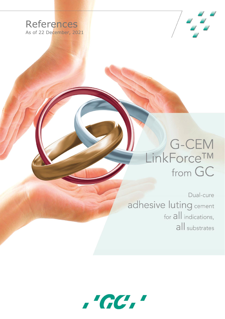



## LinkForceTM from GC

Dual-cure adhesive luting cement for all indications, all substrates

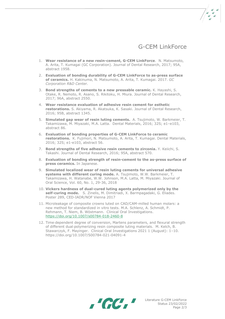

- 1. **Wear resistance of a new resin-cement, G-CEM LinkForce**. N. Matsumoto, A. Arita, T. Kumagai (GC Corporation). Journal of Dental Research, 2017; 95A, abstract 1958.
- 2. **Evaluation of bonding durability of G-CEM LinkForce to as-press surface of ceramics.** H. Kakinuma, N. Matsumoto, A. Arita, T. Kumagai. 2017. *GC Corporation R&D Center.*
- 3. **Bond strengths of cements to a new pressable ceramic.** K. Hayashi, S. Otake, R. Nemoto, R. Asano, S. Rikitoku, H. Miura. Journal of Dental Research, 2017; 96A, abstract 2550.
- 4. **Wear resistance evaluation of adhesive resin cement for esthetic restorations.** S. Akiyama, R. Akatsuka, K. Sasaki. Journal of Dental Research, 2016; 95B, abstract 1345.
- 5. **Simulated gap wear of resin luting cements.** A. Tsujimoto, W. Barkmeier, T. Takamizawa, M. Miyazaki, M.A. Latta. Dental Materials, 2016; 32S; e1–e103, abstract 86.
- 6. **Evaluation of bonding properties of G-CEM LinkForce to ceramic restorations.** K. Fujimori, N. Matsumoto, A. Arita, T. Kumagai. Dental Materials, 2016; 32S; e1-e103, abstract 56.
- 7. **Bond strengths of five adhesive resin cements to zirconia.** Y. Keiichi, S. Takashi. Journal of Dental Research, 2016; 95A, abstract 570.
- 8. **Evaluation of bonding strength of resin-cement to the as-press surface of press ceramics.** In Japanese.
- 9. **Simulated localized wear of resin luting cements for universal adhesive systems with different curing mode.** A. [Tsujimoto,](https://www.ncbi.nlm.nih.gov/pubmed/?term=Tsujimoto%20A%5BAuthor%5D&cauthor=true&cauthor_uid=29375099) W.W. [Barkmeier,](https://www.ncbi.nlm.nih.gov/pubmed/?term=Barkmeier%20WW%5BAuthor%5D&cauthor=true&cauthor_uid=29375099) T. [Takamizawa,](https://www.ncbi.nlm.nih.gov/pubmed/?term=Takamizawa%20T%5BAuthor%5D&cauthor=true&cauthor_uid=29375099) H. [Watanabe,](https://www.ncbi.nlm.nih.gov/pubmed/?term=Watanabe%20H%5BAuthor%5D&cauthor=true&cauthor_uid=29375099) W.W. [Johnson,](https://www.ncbi.nlm.nih.gov/pubmed/?term=Johnson%20WW%5BAuthor%5D&cauthor=true&cauthor_uid=29375099) M.A. [Latta,](https://www.ncbi.nlm.nih.gov/pubmed/?term=Latta%20MA%5BAuthor%5D&cauthor=true&cauthor_uid=29375099) M. [Miyazaki.](https://www.ncbi.nlm.nih.gov/pubmed/?term=Miyazaki%20M%5BAuthor%5D&cauthor=true&cauthor_uid=29375099) Journal of Oral Science, Vol. 60, No. 1, 29-36, 2018
- 10. **Vickers hardness of dual-cured luting agents polymerized only by the self-curing mode.** S. Zinelis, M. Dimitriadi, X. Barmpagadaki, G. Eliades. Poster 289, CED-IADR/NOF Vienna 2017
- 11. Microleakage of composite crowns luted on CAD/CAM-milled human molars: a new method for standardized in vitro tests. M.A. Schlenz, A. Schmidt, P. Rehmann, T. Niem, B. Wöstmann. Clinical Oral Investigations. <https://doi.org/10.1007/s00784-018-2460-8>
- 12. Time-dependent degree of conversion, Martens parameters, and flexural strength of different dual‑polymerizing resin composite luting materials. M. Kelch, B. Stawarczyk, F. Mayinger. Clinical Oral Investigations 2021 1 (August): 1–10. <https://doi.org/10.1007/S00784-021-04091-4>